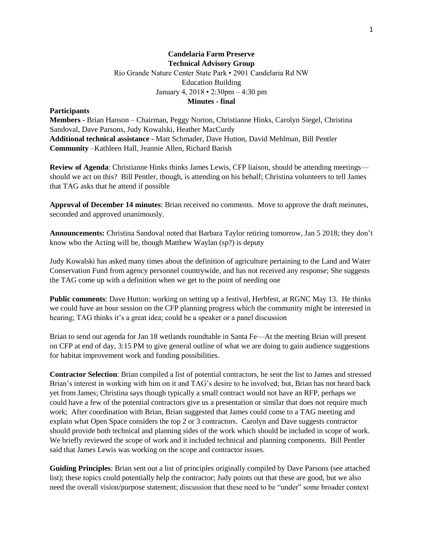## **Candelaria Farm Preserve Technical Advisory Group** Rio Grande Nature Center State Park • 2901 Candelaria Rd NW Education Building January 4, 2018 • 2:30pm – 4:30 pm **Minutes - final**

## **Participants**

**Members -** Brian Hanson – Chairman, Peggy Norton, Christianne Hinks, Carolyn Siegel, Christina Sandoval, Dave Parsons, Judy Kowalski, Heather MacCurdy **Additional technical assistance -** Matt Schmader, Dave Hutton, David Mehlman, Bill Pentler **Community** –Kathleen Hall, Jeannie Allen, Richard Barish

**Review of Agenda**: Christianne Hinks thinks James Lewis, CFP liaison, should be attending meetings should we act on this? Bill Pentler, though, is attending on his behalf; Christina volunteers to tell James that TAG asks that he attend if possible

**Approval of December 14 minutes**: Brian received no comments. Move to approve the draft meinutes, seconded and approved unanimously.

**Announcements:** Christina Sandoval noted that Barbara Taylor retiring tomorrow, Jan 5 2018; they don't know who the Acting will be, though Matthew Waylan (sp?) is deputy

Judy Kowalski has asked many times about the definition of agriculture pertaining to the Land and Water Conservation Fund from agency personnel countrywide, and has not received any response; She suggests the TAG come up with a definition when we get to the point of needing one

**Public comments**: Dave Hutton: working on setting up a festival, Herbfest, at RGNC May 13. He thinks we could have an hour session on the CFP planning progress which the community might be interested in hearing; TAG thinks it's a great idea; could be a speaker or a panel discussion

Brian to send out agenda for Jan 18 wetlands roundtable in Santa Fe—At the meeting Brian will present on CFP at end of day, 3:15 PM to give general outline of what we are doing to gain audience suggestions for habitat improvement work and funding possibilities.

**Contractor Selection**: Brian compiled a list of potential contractors, he sent the list to James and stressed Brian's interest in working with him on it and TAG's desire to be involved; but, Brian has not heard back yet from James; Christina says though typically a small contract would not have an RFP, perhaps we could have a few of the potential contractors give us a presentation or similar that does not require much work; After coordination with Brian, Brian suggested that James could come to a TAG meeting and explain what Open Space considers the top 2 or 3 contractors. Carolyn and Dave suggests contractor should provide both technical and planning sides of the work which should be included in scope of work. We briefly reviewed the scope of work and it included technical and planning components. Bill Pentler said that James Lewis was working on the scope and contractor issues.

**Guiding Principles**: Brian sent out a list of principles originally compiled by Dave Parsons (see attached list); these topics could potentially help the contractor; Judy points out that these are good, but we also need the overall vision/purpose statement; discussion that these need to be "under" some broader context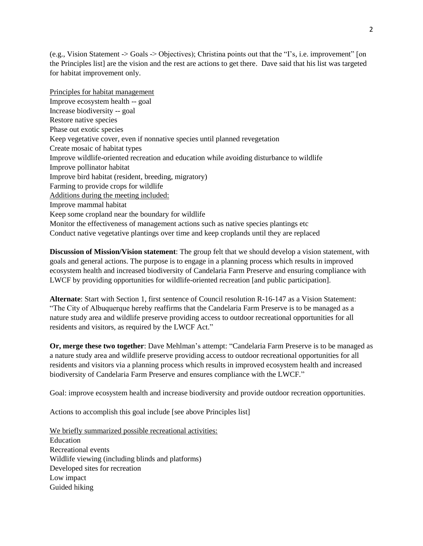(e.g., Vision Statement -> Goals -> Objectives); Christina points out that the "I's, i.e. improvement" [on the Principles list] are the vision and the rest are actions to get there. Dave said that his list was targeted for habitat improvement only.

Principles for habitat management Improve ecosystem health -- goal Increase biodiversity -- goal Restore native species Phase out exotic species Keep vegetative cover, even if nonnative species until planned revegetation Create mosaic of habitat types Improve wildlife-oriented recreation and education while avoiding disturbance to wildlife Improve pollinator habitat Improve bird habitat (resident, breeding, migratory) Farming to provide crops for wildlife Additions during the meeting included: Improve mammal habitat Keep some cropland near the boundary for wildlife Monitor the effectiveness of management actions such as native species plantings etc Conduct native vegetative plantings over time and keep croplands until they are replaced

**Discussion of Mission/Vision statement**: The group felt that we should develop a vision statement, with goals and general actions. The purpose is to engage in a planning process which results in improved ecosystem health and increased biodiversity of Candelaria Farm Preserve and ensuring compliance with LWCF by providing opportunities for wildlife-oriented recreation [and public participation].

**Alternate**: Start with Section 1, first sentence of Council resolution R-16-147 as a Vision Statement: "The City of Albuquerque hereby reaffirms that the Candelaria Farm Preserve is to be managed as a nature study area and wildlife preserve providing access to outdoor recreational opportunities for all residents and visitors, as required by the LWCF Act."

**Or, merge these two together**: Dave Mehlman's attempt: "Candelaria Farm Preserve is to be managed as a nature study area and wildlife preserve providing access to outdoor recreational opportunities for all residents and visitors via a planning process which results in improved ecosystem health and increased biodiversity of Candelaria Farm Preserve and ensures compliance with the LWCF."

Goal: improve ecosystem health and increase biodiversity and provide outdoor recreation opportunities.

Actions to accomplish this goal include [see above Principles list]

We briefly summarized possible recreational activities: Education Recreational events Wildlife viewing (including blinds and platforms) Developed sites for recreation Low impact Guided hiking